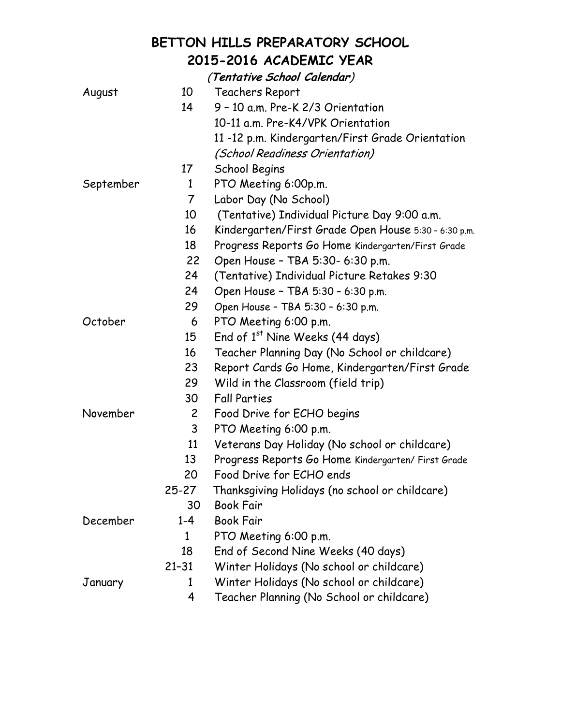## **BETTON HILLS PREPARATORY SCHOOL 2015-2016 ACADEMIC YEAR**

|           |              | (Tentative School Calendar)                          |
|-----------|--------------|------------------------------------------------------|
| August    | 10           | Teachers Report                                      |
|           | 14           | 9 - 10 a.m. Pre-K 2/3 Orientation                    |
|           |              | 10-11 a.m. Pre-K4/VPK Orientation                    |
|           |              | 11-12 p.m. Kindergarten/First Grade Orientation      |
|           |              | <i>(School Readiness Orientation)</i>                |
|           | 17           | School Begins                                        |
| September | 1            | PTO Meeting 6:00p.m.                                 |
|           | $\mathcal T$ | Labor Day (No School)                                |
|           | 10           | (Tentative) Individual Picture Day 9:00 a.m.         |
|           | 16           | Kindergarten/First Grade Open House 5:30 - 6:30 p.m. |
|           | 18           | Progress Reports Go Home Kindergarten/First Grade    |
|           | 22           | Open House - TBA 5:30- 6:30 p.m.                     |
|           | 24           | (Tentative) Individual Picture Retakes 9:30          |
|           | 24           | Open House - TBA 5:30 - 6:30 p.m.                    |
|           | 29           | Open House - TBA 5:30 - 6:30 p.m.                    |
| October   | 6            | PTO Meeting 6:00 p.m.                                |
|           | 15           | End of 1 <sup>st</sup> Nine Weeks (44 days)          |
|           | 16           | Teacher Planning Day (No School or childcare)        |
|           | 23           | Report Cards Go Home, Kindergarten/First Grade       |
|           | 29           | Wild in the Classroom (field trip)                   |
|           | 30           | <b>Fall Parties</b>                                  |
| November  | $\mathbf{2}$ | Food Drive for ECHO begins                           |
|           | 3            | PTO Meeting 6:00 p.m.                                |
|           | 11           | Veterans Day Holiday (No school or childcare)        |
|           | 13           | Progress Reports Go Home Kindergarten/ First Grade   |
|           | 20           | Food Drive for ECHO ends                             |
|           | $25 - 27$    | Thanksgiving Holidays (no school or childcare)       |
|           | 30           | <b>Book Fair</b>                                     |
| December  | $1 - 4$      | <b>Book Fair</b>                                     |
|           | 1            | PTO Meeting 6:00 p.m.                                |
|           | 18           | End of Second Nine Weeks (40 days)                   |
|           | $21 - 31$    | Winter Holidays (No school or childcare)             |
| January   | 1            | Winter Holidays (No school or childcare)             |
|           | 4            | Teacher Planning (No School or childcare)            |